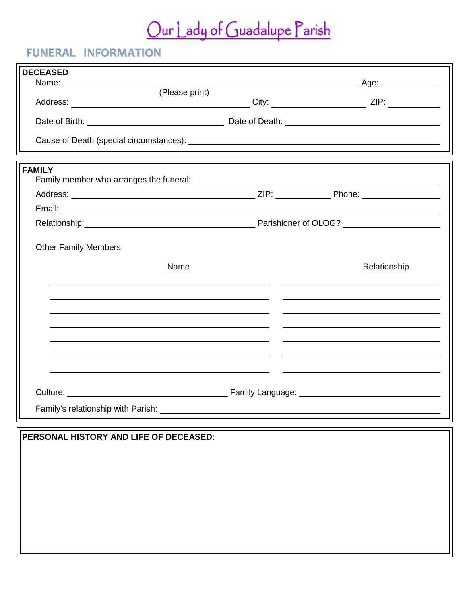## Our Lady of Guadalupe Parish

## **FUNERAL INFORMATION**

| <b>DECEASED</b>                                                                                                                                                                                                                |              |
|--------------------------------------------------------------------------------------------------------------------------------------------------------------------------------------------------------------------------------|--------------|
| Name: <u>Contact Contact (Please print)</u>                                                                                                                                                                                    |              |
|                                                                                                                                                                                                                                |              |
|                                                                                                                                                                                                                                |              |
|                                                                                                                                                                                                                                |              |
| <b>FAMILY</b>                                                                                                                                                                                                                  |              |
|                                                                                                                                                                                                                                |              |
|                                                                                                                                                                                                                                |              |
|                                                                                                                                                                                                                                |              |
|                                                                                                                                                                                                                                |              |
| <b>Other Family Members:</b>                                                                                                                                                                                                   |              |
| Name                                                                                                                                                                                                                           | Relationship |
|                                                                                                                                                                                                                                |              |
|                                                                                                                                                                                                                                |              |
|                                                                                                                                                                                                                                |              |
|                                                                                                                                                                                                                                |              |
|                                                                                                                                                                                                                                |              |
| Culture: Culture: Culture: Culture: Culture: Culture: Culture: Culture: Culture: Culture: Culture: Culture: Culture: Culture: Culture: Culture: Culture: Culture: Culture: Culture: Culture: Culture: Culture: Culture: Cultur |              |
|                                                                                                                                                                                                                                |              |
| Family's relationship with Parish: _                                                                                                                                                                                           |              |
|                                                                                                                                                                                                                                |              |
| PERSONAL HISTORY AND LIFE OF DECEASED:                                                                                                                                                                                         |              |
|                                                                                                                                                                                                                                |              |
|                                                                                                                                                                                                                                |              |
|                                                                                                                                                                                                                                |              |
|                                                                                                                                                                                                                                |              |
|                                                                                                                                                                                                                                |              |